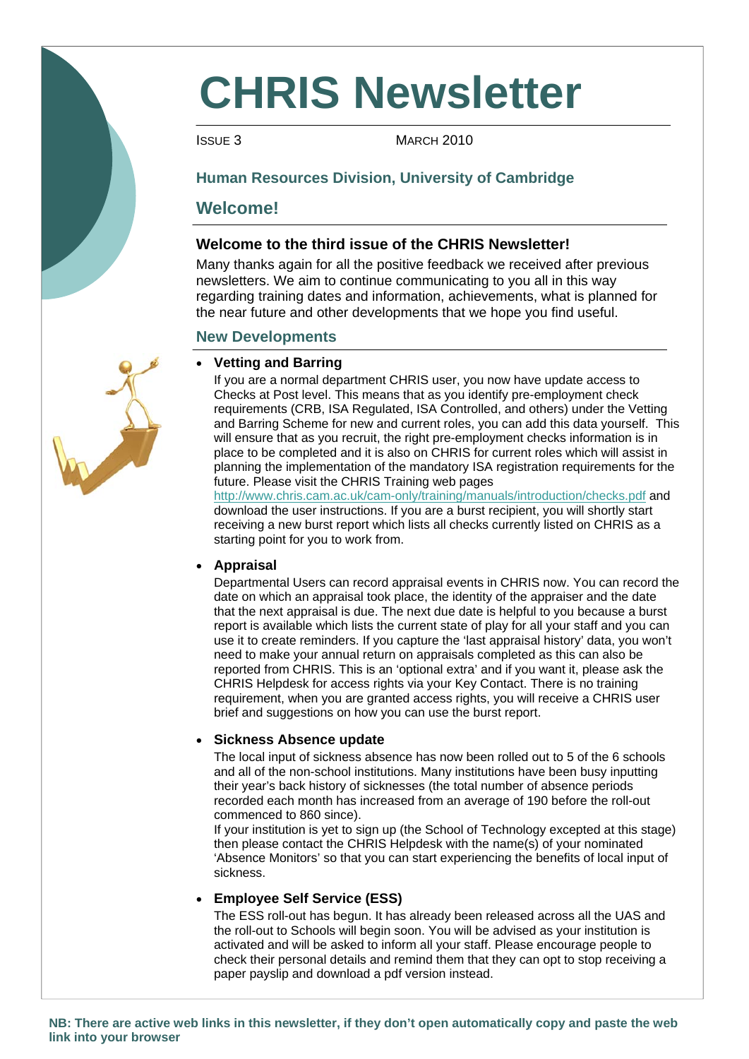# **CHRIS Newsletter**

**ISSUE 3** MARCH 2010

## **Human Resources Division, University of Cambridge**

# **Welcome!**

## **Welcome to the third issue of the CHRIS Newsletter!**

Many thanks again for all the positive feedback we received after previous newsletters. We aim to continue communicating to you all in this way regarding training dates and information, achievements, what is planned for the near future and other developments that we hope you find useful.

## **New Developments**

## • **Vetting and Barring**

 If you are a normal department CHRIS user, you now have update access to Checks at Post level. This means that as you identify pre-employment check requirements (CRB, ISA Regulated, ISA Controlled, and others) under the Vetting and Barring Scheme for new and current roles, you can add this data yourself. This will ensure that as you recruit, the right pre-employment checks information is in place to be completed and it is also on CHRIS for current roles which will assist in planning the implementation of the mandatory ISA registration requirements for the future. Please visit the CHRIS Training web pages

http://www.chris.cam.ac.uk/cam-only/training/manuals/introduction/checks.pdf and download the user instructions. If you are a burst recipient, you will shortly start receiving a new burst report which lists all checks currently listed on CHRIS as a starting point for you to work from.

## • **Appraisal**

Departmental Users can record appraisal events in CHRIS now. You can record the date on which an appraisal took place, the identity of the appraiser and the date that the next appraisal is due. The next due date is helpful to you because a burst report is available which lists the current state of play for all your staff and you can use it to create reminders. If you capture the 'last appraisal history' data, you won't need to make your annual return on appraisals completed as this can also be reported from CHRIS. This is an 'optional extra' and if you want it, please ask the CHRIS Helpdesk for access rights via your Key Contact. There is no training requirement, when you are granted access rights, you will receive a CHRIS user brief and suggestions on how you can use the burst report.

## • **Sickness Absence update**

The local input of sickness absence has now been rolled out to 5 of the 6 schools and all of the non-school institutions. Many institutions have been busy inputting their year's back history of sicknesses (the total number of absence periods recorded each month has increased from an average of 190 before the roll-out commenced to 860 since).

 If your institution is yet to sign up (the School of Technology excepted at this stage) then please contact the CHRIS Helpdesk with the name(s) of your nominated 'Absence Monitors' so that you can start experiencing the benefits of local input of sickness.

## • **Employee Self Service (ESS)**

The ESS roll-out has begun. It has already been released across all the UAS and the roll-out to Schools will begin soon. You will be advised as your institution is activated and will be asked to inform all your staff. Please encourage people to check their personal details and remind them that they can opt to stop receiving a paper payslip and download a pdf version instead.

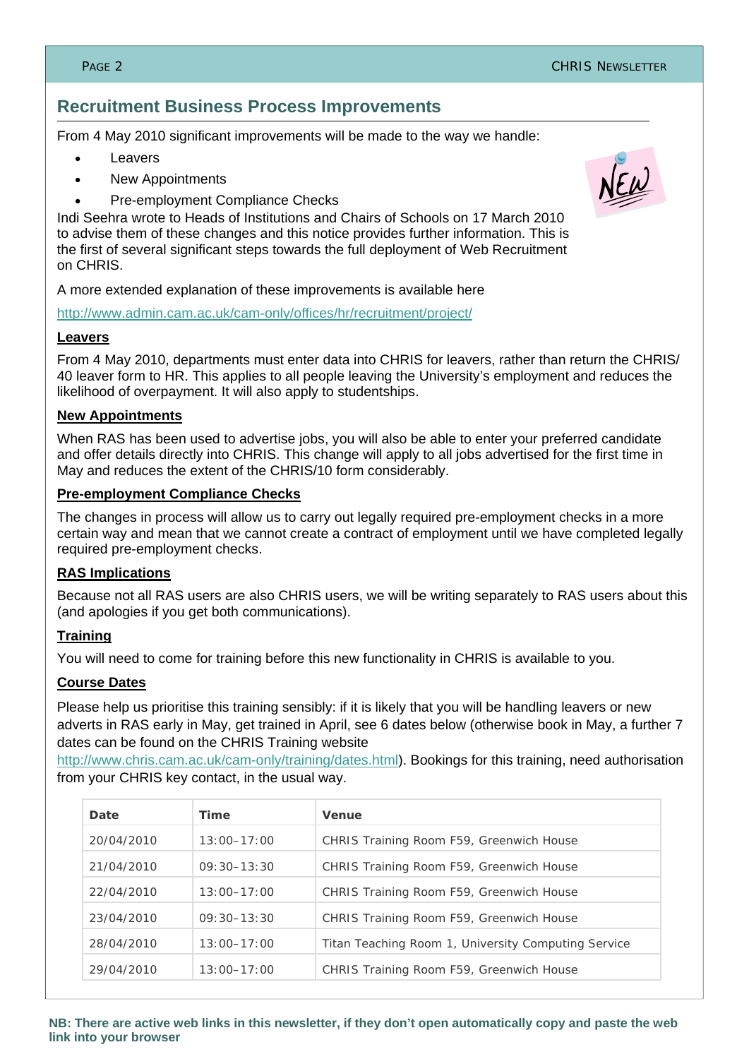# **Recruitment Business Process Improvements**

From 4 May 2010 significant improvements will be made to the way we handle:

- **Leavers**
- New Appointments
- Pre-employment Compliance Checks

Indi Seehra wrote to Heads of Institutions and Chairs of Schools on 17 March 2010 to advise them of these changes and this notice provides further information. This is the first of several significant steps towards the full deployment of Web Recruitment on CHRIS.

A more extended explanation of these improvements is available here

http://www.admin.cam.ac.uk/cam-only/offices/hr/recruitment/project/

#### **Leavers**

From 4 May 2010, departments must enter data into CHRIS for leavers, rather than return the CHRIS/ 40 leaver form to HR. This applies to all people leaving the University's employment and reduces the likelihood of overpayment. It will also apply to studentships.

#### **New Appointments**

When RAS has been used to advertise jobs, you will also be able to enter your preferred candidate and offer details directly into CHRIS. This change will apply to all jobs advertised for the first time in May and reduces the extent of the CHRIS/10 form considerably.

#### **Pre-employment Compliance Checks**

The changes in process will allow us to carry out legally required pre-employment checks in a more certain way and mean that we cannot create a contract of employment until we have completed legally required pre-employment checks.

#### **RAS Implications**

Because not all RAS users are also CHRIS users, we will be writing separately to RAS users about this (and apologies if you get both communications).

#### **Training**

You will need to come for training before this new functionality in CHRIS is available to you.

#### **Course Dates**

Please help us prioritise this training sensibly: if it is likely that you will be handling leavers or new adverts in RAS early in May, get trained in April, see 6 dates below (otherwise book in May, a further 7 dates can be found on the CHRIS Training website

http://www.chris.cam.ac.uk/cam-only/training/dates.html). Bookings for this training, need authorisation from your CHRIS key contact, in the usual way.

| Date       | <b>Time</b>     | <b>Venue</b>                                        |
|------------|-----------------|-----------------------------------------------------|
| 20/04/2010 | $13:00 - 17:00$ | CHRIS Training Room F59, Greenwich House            |
| 21/04/2010 | $09:30 - 13:30$ | CHRIS Training Room F59, Greenwich House            |
| 22/04/2010 | $13:00 - 17:00$ | CHRIS Training Room F59, Greenwich House            |
| 23/04/2010 | $09:30 - 13:30$ | CHRIS Training Room F59, Greenwich House            |
| 28/04/2010 | $13:00 - 17:00$ | Titan Teaching Room 1, University Computing Service |
| 29/04/2010 | $13:00 - 17:00$ | CHRIS Training Room F59, Greenwich House            |



**NB: There are active web links in this newsletter, if they don't open automatically copy and paste the web link into your browser**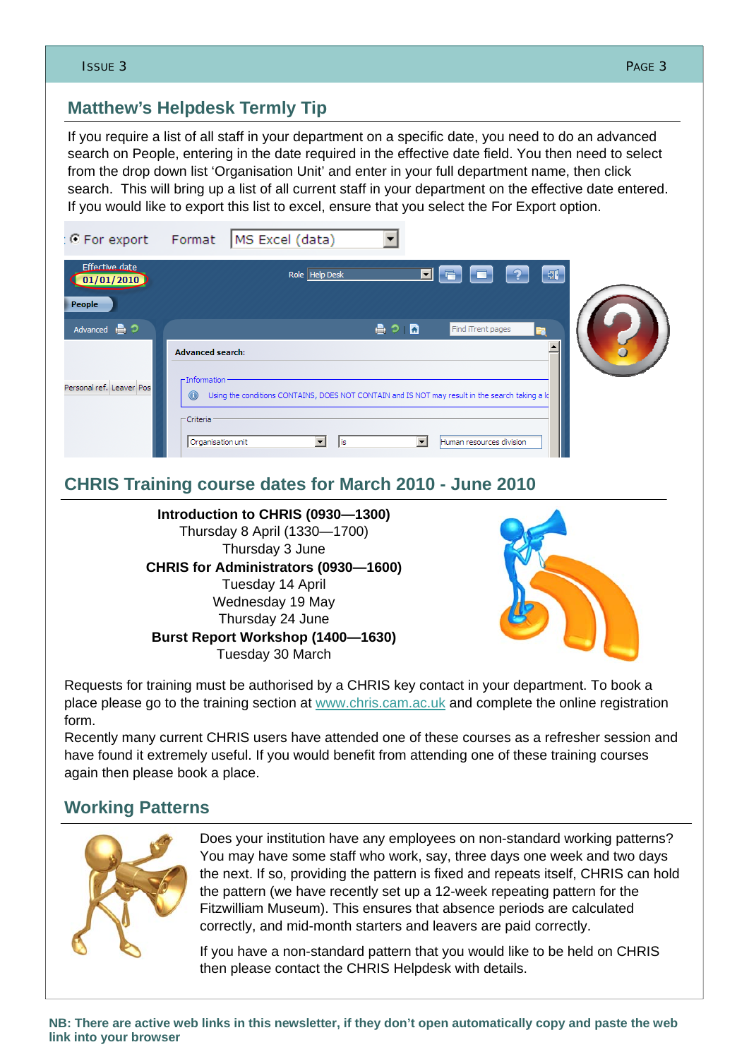If you require a list of all staff in your department on a specific date, you need to do an advanced search on People, entering in the date required in the effective date field. You then need to select from the drop down list 'Organisation Unit' and enter in your full department name, then click search. This will bring up a list of all current staff in your department on the effective date entered. If you would like to export this list to excel, ensure that you select the For Export option.



# **CHRIS Training course dates for March 2010 - June 2010**





Requests for training must be authorised by a CHRIS key contact in your department. To book a place please go to the training section at www.chris.cam.ac.uk and complete the online registration form.

Recently many current CHRIS users have attended one of these courses as a refresher session and have found it extremely useful. If you would benefit from attending one of these training courses again then please book a place.

# **Working Patterns**



Does your institution have any employees on non-standard working patterns? You may have some staff who work, say, three days one week and two days the next. If so, providing the pattern is fixed and repeats itself, CHRIS can hold the pattern (we have recently set up a 12-week repeating pattern for the Fitzwilliam Museum). This ensures that absence periods are calculated correctly, and mid-month starters and leavers are paid correctly.

If you have a non-standard pattern that you would like to be held on CHRIS then please contact the CHRIS Helpdesk with details.